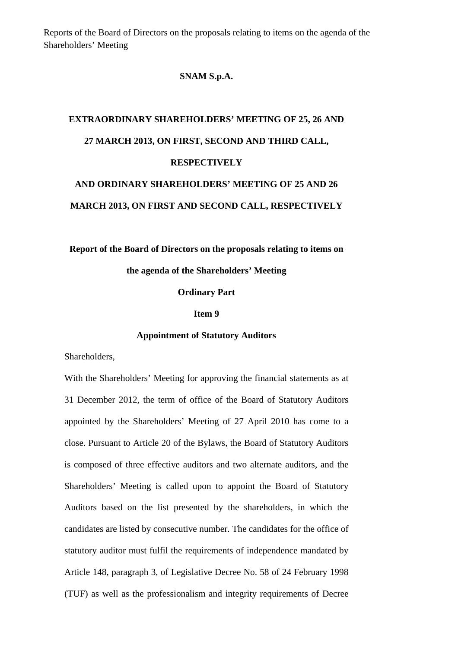Reports of the Board of Directors on the proposals relating to items on the agenda of the Shareholders' Meeting

## **SNAM S.p.A.**

## **EXTRAORDINARY SHAREHOLDERS' MEETING OF 25, 26 AND 27 MARCH 2013, ON FIRST, SECOND AND THIRD CALL, RESPECTIVELY AND ORDINARY SHAREHOLDERS' MEETING OF 25 AND 26**

**Report of the Board of Directors on the proposals relating to items on** 

**MARCH 2013, ON FIRST AND SECOND CALL, RESPECTIVELY** 

**the agenda of the Shareholders' Meeting** 

**Ordinary Part** 

**Item 9** 

## **Appointment of Statutory Auditors**

Shareholders,

With the Shareholders' Meeting for approving the financial statements as at 31 December 2012, the term of office of the Board of Statutory Auditors appointed by the Shareholders' Meeting of 27 April 2010 has come to a close. Pursuant to Article 20 of the Bylaws, the Board of Statutory Auditors is composed of three effective auditors and two alternate auditors, and the Shareholders' Meeting is called upon to appoint the Board of Statutory Auditors based on the list presented by the shareholders, in which the candidates are listed by consecutive number. The candidates for the office of statutory auditor must fulfil the requirements of independence mandated by Article 148, paragraph 3, of Legislative Decree No. 58 of 24 February 1998 (TUF) as well as the professionalism and integrity requirements of Decree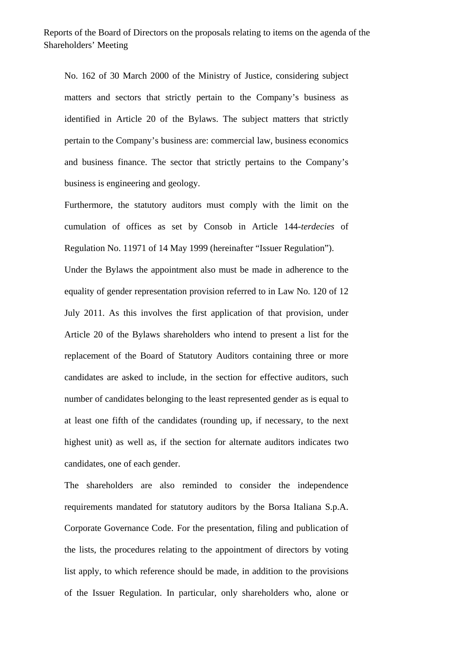No. 162 of 30 March 2000 of the Ministry of Justice, considering subject matters and sectors that strictly pertain to the Company's business as identified in Article 20 of the Bylaws. The subject matters that strictly pertain to the Company's business are: commercial law, business economics and business finance. The sector that strictly pertains to the Company's business is engineering and geology.

Furthermore, the statutory auditors must comply with the limit on the cumulation of offices as set by Consob in Article 144-*terdecies* of Regulation No. 11971 of 14 May 1999 (hereinafter "Issuer Regulation").

Under the Bylaws the appointment also must be made in adherence to the equality of gender representation provision referred to in Law No. 120 of 12 July 2011. As this involves the first application of that provision, under Article 20 of the Bylaws shareholders who intend to present a list for the replacement of the Board of Statutory Auditors containing three or more candidates are asked to include, in the section for effective auditors, such number of candidates belonging to the least represented gender as is equal to at least one fifth of the candidates (rounding up, if necessary, to the next highest unit) as well as, if the section for alternate auditors indicates two candidates, one of each gender.

The shareholders are also reminded to consider the independence requirements mandated for statutory auditors by the Borsa Italiana S.p.A. Corporate Governance Code. For the presentation, filing and publication of the lists, the procedures relating to the appointment of directors by voting list apply, to which reference should be made, in addition to the provisions of the Issuer Regulation. In particular, only shareholders who, alone or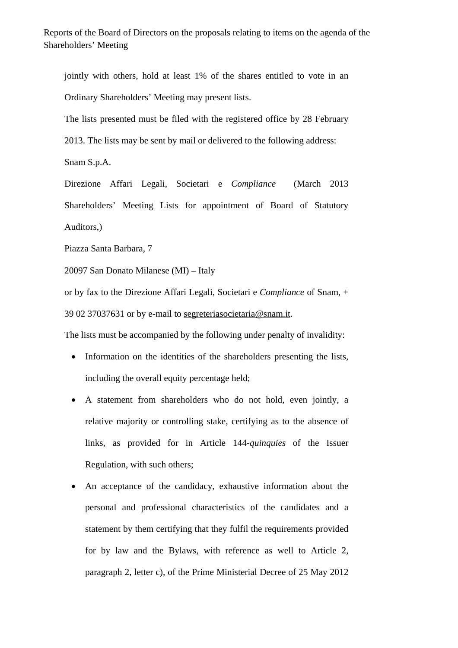Reports of the Board of Directors on the proposals relating to items on the agenda of the Shareholders' Meeting

jointly with others, hold at least 1% of the shares entitled to vote in an Ordinary Shareholders' Meeting may present lists.

The lists presented must be filed with the registered office by 28 February

2013. The lists may be sent by mail or delivered to the following address:

Snam S.p.A.

Direzione Affari Legali, Societari e *Compliance* (March 2013 Shareholders' Meeting Lists for appointment of Board of Statutory Auditors,)

Piazza Santa Barbara, 7

20097 San Donato Milanese (MI) – Italy

or by fax to the Direzione Affari Legali, Societari e *Compliance* of Snam, + 39 02 37037631 or by e-mail to segreteriasocietaria@snam.it.

The lists must be accompanied by the following under penalty of invalidity:

- Information on the identities of the shareholders presenting the lists, including the overall equity percentage held;
- A statement from shareholders who do not hold, even jointly, a relative majority or controlling stake, certifying as to the absence of links, as provided for in Article 144-*quinquies* of the Issuer Regulation, with such others;
- An acceptance of the candidacy, exhaustive information about the personal and professional characteristics of the candidates and a statement by them certifying that they fulfil the requirements provided for by law and the Bylaws, with reference as well to Article 2, paragraph 2, letter c), of the Prime Ministerial Decree of 25 May 2012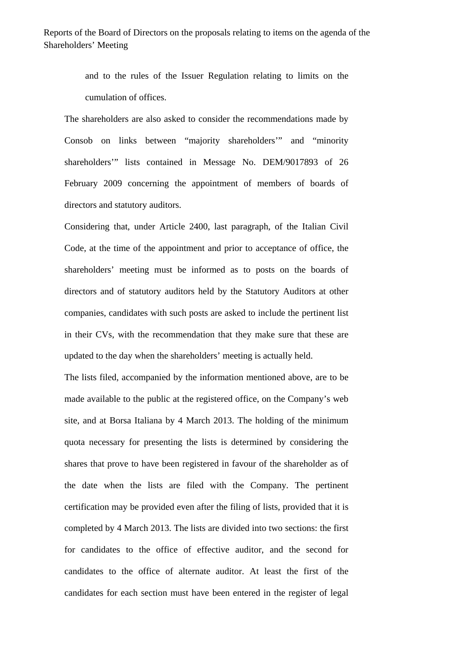Reports of the Board of Directors on the proposals relating to items on the agenda of the Shareholders' Meeting

> and to the rules of the Issuer Regulation relating to limits on the cumulation of offices.

The shareholders are also asked to consider the recommendations made by Consob on links between "majority shareholders'" and "minority shareholders'" lists contained in Message No. DEM/9017893 of 26 February 2009 concerning the appointment of members of boards of directors and statutory auditors.

Considering that, under Article 2400, last paragraph, of the Italian Civil Code, at the time of the appointment and prior to acceptance of office, the shareholders' meeting must be informed as to posts on the boards of directors and of statutory auditors held by the Statutory Auditors at other companies, candidates with such posts are asked to include the pertinent list in their CVs, with the recommendation that they make sure that these are updated to the day when the shareholders' meeting is actually held.

The lists filed, accompanied by the information mentioned above, are to be made available to the public at the registered office, on the Company's web site, and at Borsa Italiana by 4 March 2013. The holding of the minimum quota necessary for presenting the lists is determined by considering the shares that prove to have been registered in favour of the shareholder as of the date when the lists are filed with the Company. The pertinent certification may be provided even after the filing of lists, provided that it is completed by 4 March 2013. The lists are divided into two sections: the first for candidates to the office of effective auditor, and the second for candidates to the office of alternate auditor. At least the first of the candidates for each section must have been entered in the register of legal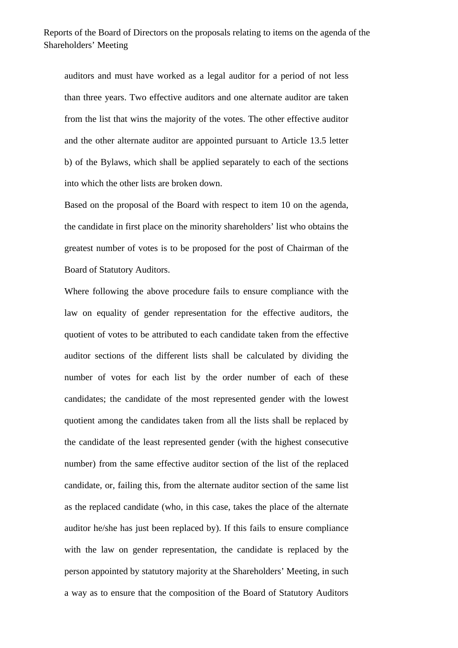auditors and must have worked as a legal auditor for a period of not less than three years. Two effective auditors and one alternate auditor are taken from the list that wins the majority of the votes. The other effective auditor and the other alternate auditor are appointed pursuant to Article 13.5 letter b) of the Bylaws, which shall be applied separately to each of the sections into which the other lists are broken down.

Based on the proposal of the Board with respect to item 10 on the agenda, the candidate in first place on the minority shareholders' list who obtains the greatest number of votes is to be proposed for the post of Chairman of the Board of Statutory Auditors.

Where following the above procedure fails to ensure compliance with the law on equality of gender representation for the effective auditors, the quotient of votes to be attributed to each candidate taken from the effective auditor sections of the different lists shall be calculated by dividing the number of votes for each list by the order number of each of these candidates; the candidate of the most represented gender with the lowest quotient among the candidates taken from all the lists shall be replaced by the candidate of the least represented gender (with the highest consecutive number) from the same effective auditor section of the list of the replaced candidate, or, failing this, from the alternate auditor section of the same list as the replaced candidate (who, in this case, takes the place of the alternate auditor he/she has just been replaced by). If this fails to ensure compliance with the law on gender representation, the candidate is replaced by the person appointed by statutory majority at the Shareholders' Meeting, in such a way as to ensure that the composition of the Board of Statutory Auditors